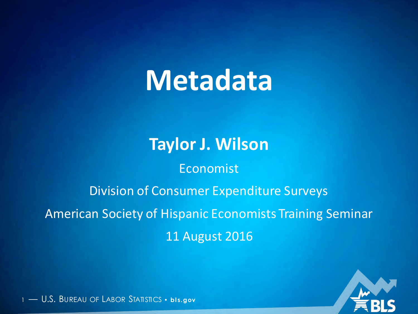# **Metadata**

### **Taylor J. Wilson**

### Economist

### Division of Consumer Expenditure Surveys

### American Society of Hispanic Economists Training Seminar 11 August 2016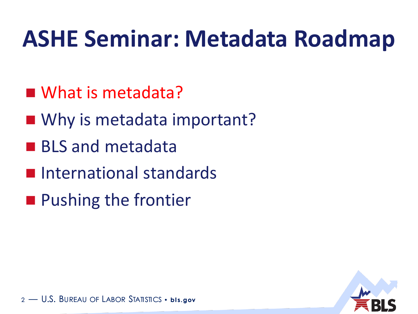### **ASHE Seminar: Metadata Roadmap**

- What is metadata?
- Why is metadata important?
- **BLS and metadata**
- **International standards**
- **Pushing the frontier**

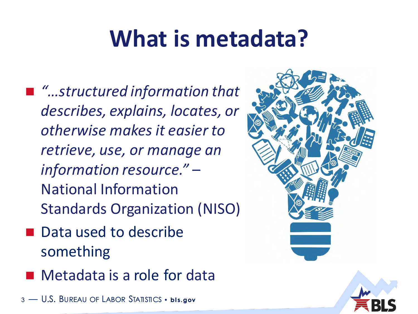### **What is metadata?**

- *"…structured information that describes, explains, locates, or otherwise makes it easier to retrieve, use, or manage an information resource."* – National Information Standards Organization (NISO)
- Data used to describe something
- Metadata is a role for data

 $-$  U.S. Bureau of Labor Statistics • **bis.gov** 

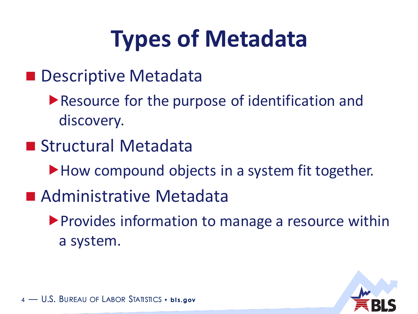# **Types of Metadata**

- **Descriptive Metadata** 
	- ▶ Resource for the purpose of identification and discovery.
- Structural Metadata
	- How compound objects in a system fit together.
- Administrative Metadata
	- **Provides information to manage a resource within** a system.

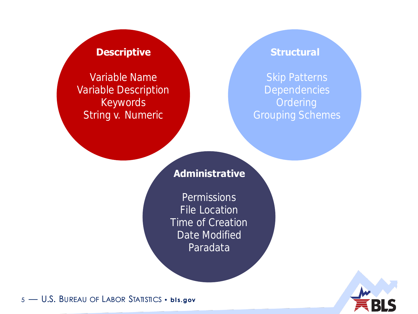Variable Name Variable Description Keywords String v. Numeric

### **Descriptive and Structural**

Grouping Schemes

### **Administrative**

**Permissions** File Location Time of Creation Date Modified Paradata

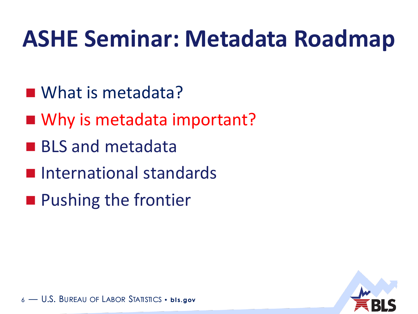### **ASHE Seminar: Metadata Roadmap**

- What is metadata?
- Why is metadata important?
- **BLS and metadata**
- **International standards**
- **Pushing the frontier**

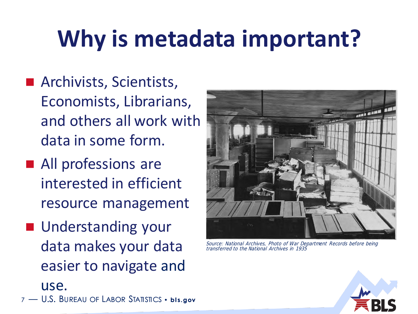# **Why is metadata important?**

- **Archivists, Scientists,** Economists, Librarians, and others all work with data in some form.
- **All professions are** interested in efficient resource management
- **Understanding your** data makes your data easier to navigate and

<sup>7</sup> — U.S. BUREAU OF LABOR STATISTICS • **bl s.gov**

use.



Source: National Archives, Photo of War Department Records before being transferred to the National Archives in 1935

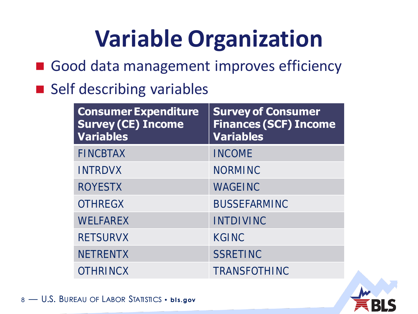# **Variable Organization**

- Good data management improves efficiency
- Self describing variables

| <b>Consumer Expenditure</b><br><b>Survey (CE) Income</b><br><b>Variables</b> | <b>Survey of Consumer</b><br><b>Finances (SCF) Income</b><br><b>Variables</b> |
|------------------------------------------------------------------------------|-------------------------------------------------------------------------------|
| <b>FINCBTAX</b>                                                              | <b>INCOME</b>                                                                 |
| <b>INTRDVX</b>                                                               | <b>NORMINC</b>                                                                |
| <b>ROYESTX</b>                                                               | WAGEINC                                                                       |
| <b>OTHREGX</b>                                                               | <b>BUSSEFARMINC</b>                                                           |
| WELFAREX                                                                     | <b>INTDIVINC</b>                                                              |
| <b>RETSURVX</b>                                                              | KGINC                                                                         |
| <b>NETRENTX</b>                                                              | SSRETINC                                                                      |
| <b>OTHRINCX</b>                                                              | <b>TRANSFOTHINC</b>                                                           |

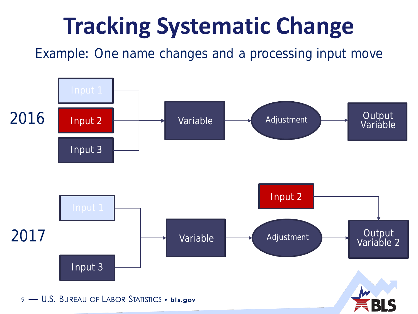# **Tracking Systematic Change**

Example: One name changes and a processing input move

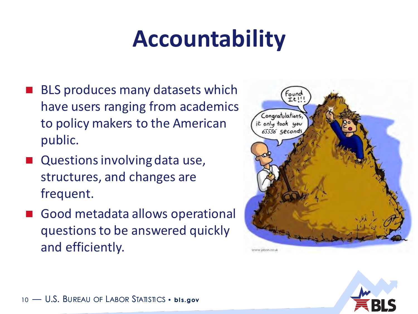### **Accountability**

- BLS produces many datasets which have users ranging from academics to policy makers to the American public.
- Questions involving data use, structures, and changes are frequent.
- Good metadata allows operational questions to be answered quickly and efficiently.



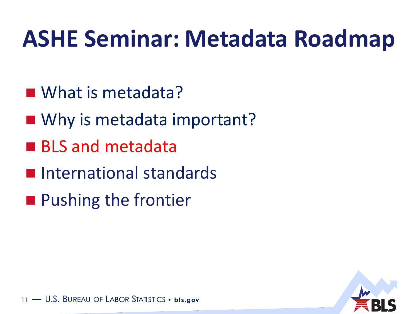### **ASHE Seminar: Metadata Roadmap**

- What is metadata?
- Why is metadata important?
- **BLS and metadata**
- **International standards**
- **Pushing the frontier**

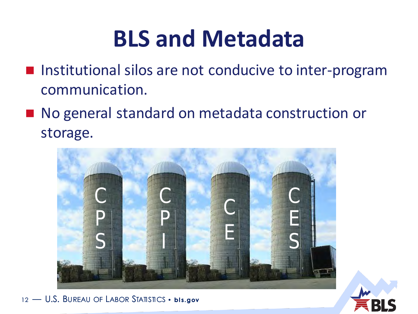### **BLS and Metadata**

- Institutional silos are not conducive to inter-program communication.
- No general standard on metadata construction or storage.

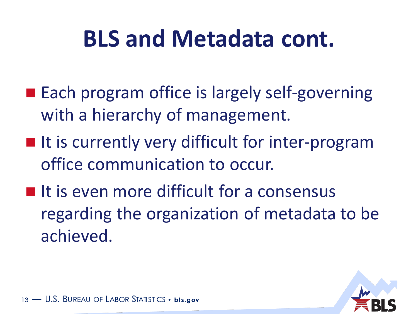### **BLS and Metadata cont.**

- **Each program office is largely self-governing** with a hierarchy of management.
- $\blacksquare$  It is currently very difficult for inter-program office communication to occur.
- $\blacksquare$  It is even more difficult for a consensus regarding the organization of metadata to be achieved.

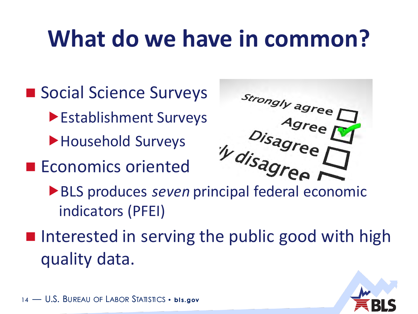### **What do we have in common?**

- Social Science Surveys Establishment Surveys
	- Household Surveys
- **Economics oriented**



- indicators (PFEI)
- I Interested in serving the public good with high quality data.

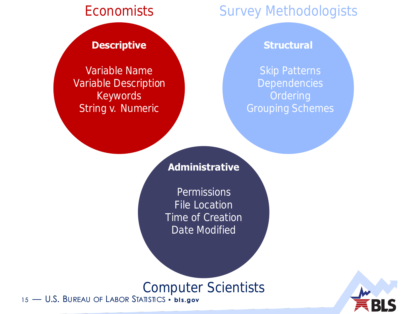### **Descriptive and Structural**

Variable Name Variable Description Keywords String v. Numeric

### Economists Survey Methodologists

Skip Patterns

### **Administrative**

Permissions File Location Time of Creation Date Modified

### Computer Scientists

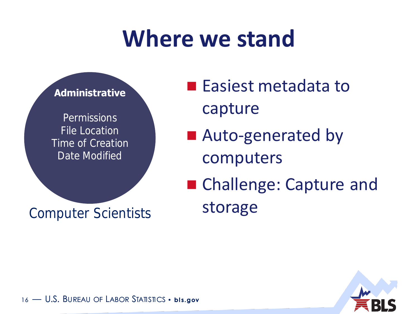### **Where we stand**



### Computer Scientists

**Easiest metadata to** capture

■ Auto-generated by computers

■ Challenge: Capture and storage

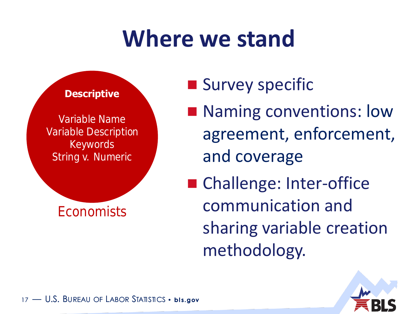### **Where we stand**



- **Survey specific**
- Naming conventions: low agreement, enforcement, and coverage
- Challenge: Inter-office communication and sharing variable creation methodology.

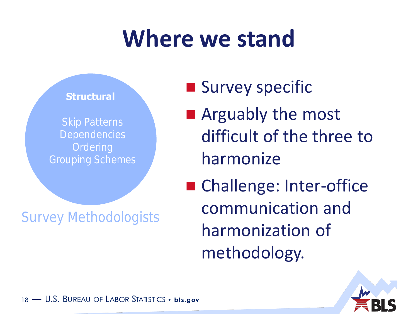### **Where we stand**



Survey Methodologists

**Survey specific** 

**E** Arguably the most difficult of the three to harmonize

■ Challenge: Inter-office communication and harmonization of methodology.

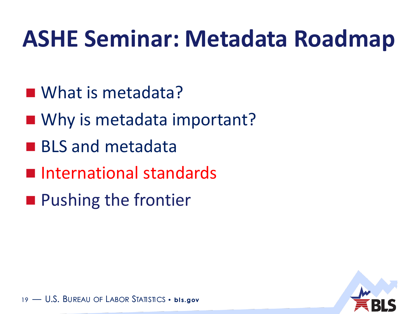### **ASHE Seminar: Metadata Roadmap**

- What is metadata?
- Why is metadata important?
- **BLS and metadata**
- **International standards**
- **Pushing the frontier**

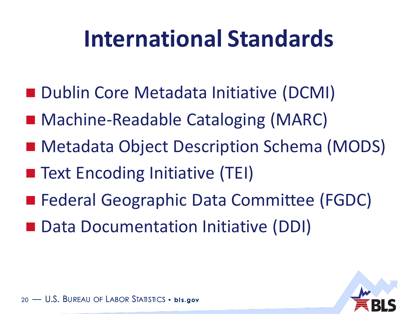### **International Standards**

- Dublin Core Metadata Initiative (DCMI)
- Machine-Readable Cataloging (MARC)
- Metadata Object Description Schema (MODS)
- Text Encoding Initiative (TEI)
- Federal Geographic Data Committee (FGDC)
- Data Documentation Initiative (DDI)

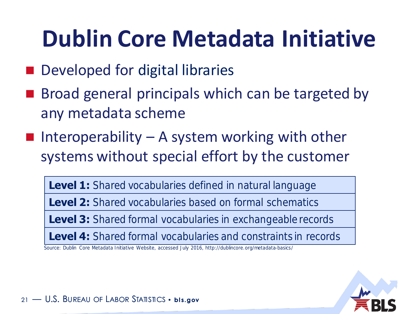### **Dublin Core Metadata Initiative**

- Developed for digital libraries
- Broad general principals which can be targeted by any metadata scheme
- **I** Interoperability A system working with other systems without special effort by the customer

**Level 1:** Shared vocabularies defined in natural language

**Level 2:** Shared vocabularies based on formal schematics

**Level 3:** Shared formal vocabularies in exchangeable records

**Level 4:** Shared formal vocabularies and constraints in records

Source: Dublin Core Metadata Initiative Website, accessed July 2016, http://dublincore.org/metadata-basics/

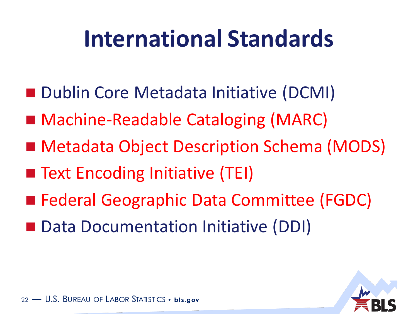### **International Standards**

- Dublin Core Metadata Initiative (DCMI)
- Machine-Readable Cataloging (MARC)
- Metadata Object Description Schema (MODS)
- Text Encoding Initiative (TEI)
- Federal Geographic Data Committee (FGDC)
- Data Documentation Initiative (DDI)

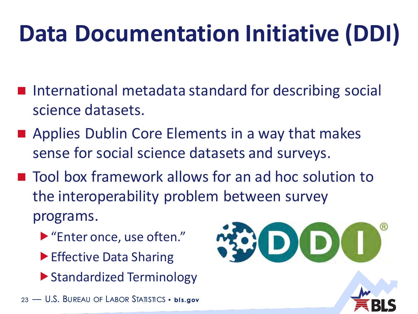# **Data Documentation Initiative (DDI)**

- International metadata standard for describing social science datasets.
- **Applies Dublin Core Elements in a way that makes** sense for social science datasets and surveys.
- Tool box framework allows for an ad hoc solution to the interoperability problem between survey programs.
	- ▶ "Enter once, use often."
	- ▶ Effective Data Sharing
	- ▶ Standardized Terminology



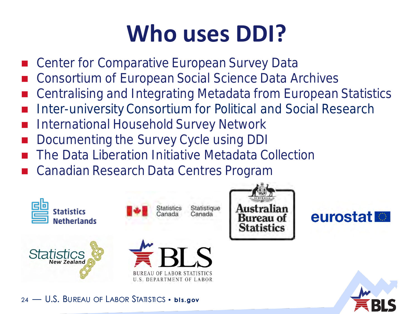## **Who uses DDI?**

- Center for Comparative European Survey Data
- Consortium of European Social Science Data Archives
- Centralising and Integrating Metadata from European Statistics
- Inter-university Consortium for Political and Social Research
- International Household Survey Network
- Documenting the Survey Cycle using DDI
- The Data Liberation Initiative Metadata Collection
- Canadian Research Data Centres Program







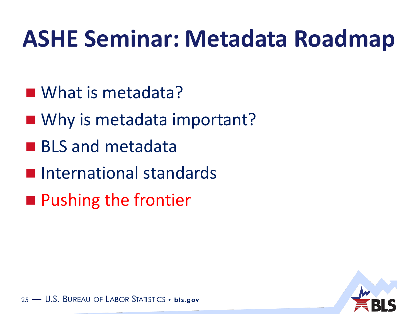### **ASHE Seminar: Metadata Roadmap**

- What is metadata?
- Why is metadata important?
- **BLS and metadata**
- **International standards**
- **Pushing the frontier**

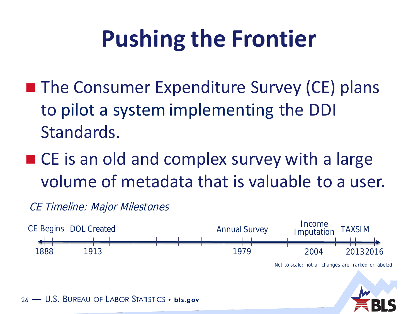## **Pushing the Frontier**

- The Consumer Expenditure Survey (CE) plans to pilot a system implementing the DDI Standards.
- CE is an old and complex survey with a large volume of metadata that is valuable to a user.

### CE Timeline: Major Milestones



Not to scale; not all changes are marked or labeled

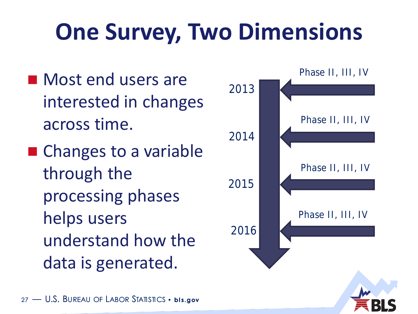# **One Survey, Two Dimensions**

- **Most end users are** interested in changes across time.
- Changes to a variable through the processing phases helps users understand how the data is generated.

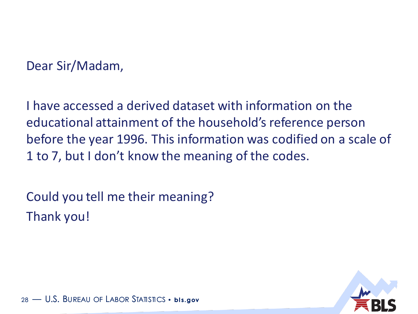### Dear Sir/Madam,

I have accessed a derived dataset with information on the educational attainment of the household's reference person before the year 1996. This information was codified on a scale of 1 to 7, but I don't know the meaning of the codes.

Could you tell me their meaning? Thank you!

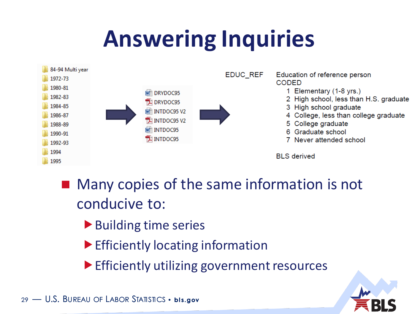### **Answering Inquiries**



- **Many copies of the same information is not** conducive to:
	- ▶ Building time series
	- Efficiently locating information

 $\blacktriangleright$  Efficiently utilizing government resources

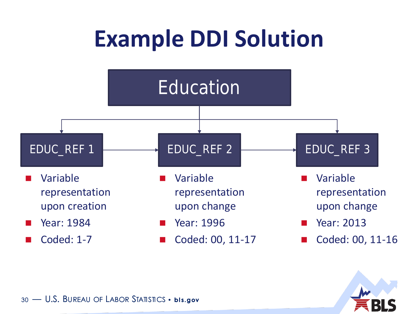

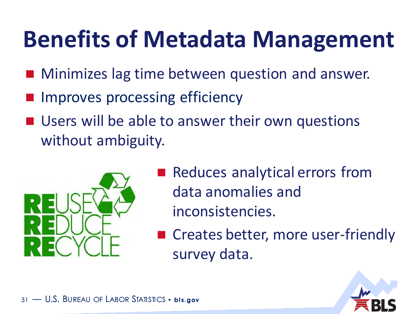### **Benefits of Metadata Management**

- Minimizes lag time between question and answer.
- Improves processing efficiency
- **Users will be able to answer their own questions** without ambiguity.



- Reduces analytical errors from data anomalies and inconsistencies.
- Creates better, more user-friendly survey data.

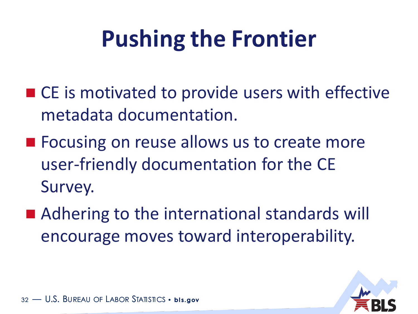# **Pushing the Frontier**

- CE is motivated to provide users with effective metadata documentation.
- Focusing on reuse allows us to create more user-friendly documentation for the CE Survey.
- Adhering to the international standards will encourage moves toward interoperability.